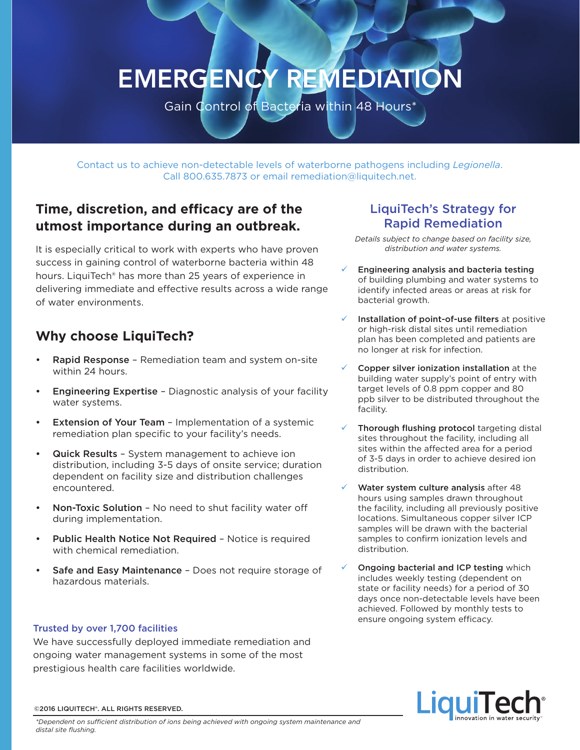# EMERGENCY REMEDIATION

Gain Control of Bacteria within 48 Hours\*

Contact us to achieve non-detectable levels of waterborne pathogens including *Legionella*. Call 800.635.7873 or email remediation@liquitech.net.

# **Time, discretion, and efficacy are of the utmost importance during an outbreak.**

It is especially critical to work with experts who have proven success in gaining control of waterborne bacteria within 48 hours. LiquiTech® has more than 25 years of experience in delivering immediate and effective results across a wide range of water environments.

# **Why choose LiquiTech?**

- Rapid Response Remediation team and system on-site within 24 hours.
- **Engineering Expertise Diagnostic analysis of your facility** water systems.
- **Extension of Your Team Implementation of a systemic** remediation plan specific to your facility's needs.
- Quick Results System management to achieve ion distribution, including 3-5 days of onsite service; duration dependent on facility size and distribution challenges encountered.
- Non-Toxic Solution No need to shut facility water off during implementation.
- Public Health Notice Not Required Notice is required with chemical remediation.
- Safe and Easy Maintenance Does not require storage of hazardous materials.

### Trusted by over 1,700 facilities

We have successfully deployed immediate remediation and ongoing water management systems in some of the most prestigious health care facilities worldwide.

## LiquiTech's Strategy for Rapid Remediation

*Details subject to change based on facility size, distribution and water systems.* 

- 9 Engineering analysis and bacteria testing of building plumbing and water systems to identify infected areas or areas at risk for bacterial growth.
- Installation of point-of-use filters at positive or high-risk distal sites until remediation plan has been completed and patients are no longer at risk for infection.
- Copper silver ionization installation at the building water supply's point of entry with target levels of 0.8 ppm copper and 80 ppb silver to be distributed throughout the facility.
- Thorough flushing protocol targeting distal sites throughout the facility, including all sites within the affected area for a period of 3-5 days in order to achieve desired ion distribution.
- Water system culture analysis after 48 hours using samples drawn throughout the facility, including all previously positive locations. Simultaneous copper silver ICP samples will be drawn with the bacterial samples to confirm ionization levels and distribution.
- Ongoing bacterial and ICP testing which includes weekly testing (dependent on state or facility needs) for a period of 30 days once non-detectable levels have been achieved. Followed by monthly tests to ensure ongoing system efficacy.



#### ©2016 LIQUITECH®. ALL RIGHTS RESERVED.